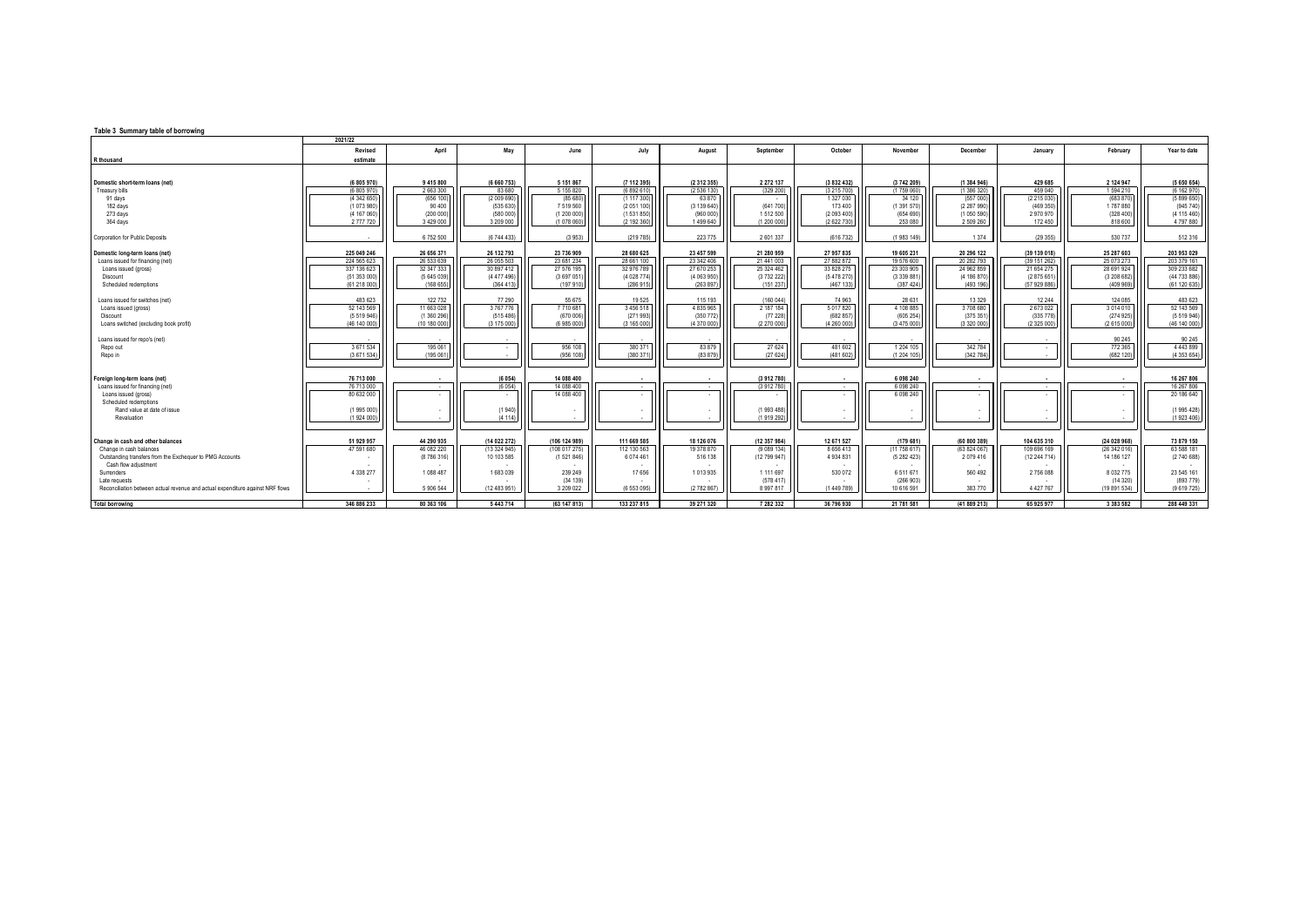## **Table 3 Summary table of borrowing**

|                                                                                                                                                  | 2021/22                                                                   |                                                                 |                                                                    |                                                                  |                                                                  |                                                                  |                                                                 |                                                                    |                                                                    |                                                                    |                                                                        |                                                                 |                                                                           |
|--------------------------------------------------------------------------------------------------------------------------------------------------|---------------------------------------------------------------------------|-----------------------------------------------------------------|--------------------------------------------------------------------|------------------------------------------------------------------|------------------------------------------------------------------|------------------------------------------------------------------|-----------------------------------------------------------------|--------------------------------------------------------------------|--------------------------------------------------------------------|--------------------------------------------------------------------|------------------------------------------------------------------------|-----------------------------------------------------------------|---------------------------------------------------------------------------|
|                                                                                                                                                  | Revised                                                                   | April                                                           | May                                                                | June                                                             | July                                                             | August                                                           | September                                                       | October                                                            | November                                                           | December                                                           | January                                                                | February                                                        | Year to date                                                              |
| R thousand                                                                                                                                       | estimate                                                                  |                                                                 |                                                                    |                                                                  |                                                                  |                                                                  |                                                                 |                                                                    |                                                                    |                                                                    |                                                                        |                                                                 |                                                                           |
| Domestic short-term loans (net)<br><b>Treasury bills</b>                                                                                         | (6 805 970)<br>(6 805 970)                                                | 9 415 800<br>2 663 300                                          | (6 660 753)<br>83 680                                              | 5 1 5 1 8 6 7<br>5 155 820                                       | (7 112 395)<br>(6892610)                                         | (2 312 355)<br>(2 536 130)                                       | 2 2 7 2 1 3 7<br>(329 200)                                      | (3 832 432)<br>(3 215 700)                                         | (3742 209)<br>(1759060)                                            | (1 384 946)<br>(1 386 320)                                         | 429 685<br>459 040                                                     | 2 124 947<br>1594 210                                           | (5 650 654)<br>(6 162 970)                                                |
| 91 days<br>182 days<br>273 days<br>364 days                                                                                                      | (4 342 650)<br>(1073980)<br>(4 167 060)<br>2 777 720                      | (656 100)<br>90 400<br>(200 000)<br>3 4 2 9 0 0 0               | (2 009 690)<br>(535 630)<br>(580 000)<br>3 209 000                 | (85 680<br>7519560<br>(1 200 000)<br>(1 078 060                  | (1117300)<br>(2051100)<br>(1531850)<br>(2 192 360)               | 63 870<br>(3139640)<br>(960 000)<br>1499 640                     | (641 700)<br>1512500<br>(1 200 000)                             | 1 327 030<br>173 400<br>(2 093 400)<br>(2 622 730)                 | 34 120<br>(1391570)<br>(654690)<br>253 080                         | (557000)<br>(2 287 990)<br>(1050590)<br>2 509 260                  | (2 215 030)<br>(469 350)<br>2970970<br>172 450                         | (683 870)<br>1787880<br>(328, 400)<br>818 600                   | (5899650)<br>(945740)<br>(4 115 460)<br>4 797 880                         |
| Corporation for Public Deposits                                                                                                                  | . .                                                                       | 6752500                                                         | (6 744 433)                                                        | (3953)                                                           | (219785)                                                         | 223 775                                                          | 2 601 337                                                       | (616732)                                                           | (1983 149)                                                         | 1 3 7 4                                                            | (29355)                                                                | 530 737                                                         | 512 316                                                                   |
| Domestic long-term loans (net)<br>Loans issued for financing (net)<br>Loans issued (gross)<br>Discount<br>Scheduled redemptions                  | 225 049 246<br>224 565 623<br>337 136 623<br>(51 353 000)<br>(61 218 000) | 26 656 371<br>26 533 639<br>32 347 333<br>(5645039)<br>(168655) | 26 132 793<br>26 055 503<br>30 897 412<br>(4 477 496)<br>(364 413) | 23 736 909<br>23 681 234<br>27 576 195<br>(3 697 051<br>(197 910 | 28 680 625<br>28 661 100<br>32 976 789<br>(4028774)<br>(286 915) | 23 457 599<br>23 342 406<br>27 670 253<br>(4063950)<br>(263 897) | 21 280 959<br>21 441 003<br>25 324 462<br>(3732222)<br>(151 237 | 27 957 835<br>27 882 872<br>33 828 275<br>(5 478 270)<br>(467 133) | 19 605 231<br>19 576 600<br>23 303 905<br>(3 339 881)<br>(387 424) | 20 296 122<br>20 282 793<br>24 962 859<br>(4 186 870)<br>(493 196) | (39 139 018)<br>(39 151 262)<br>21 654 275<br>(2875651<br>(57 929 886) | 25 287 603<br>25 073 273<br>28 691 924<br>(3208682)<br>(409969) | 203 953 029<br>203 379 161<br>309 233 682<br>(44 733 886)<br>(61 120 635) |
| Loans issued for switches (net)<br>Loans issued (gross)<br><b>Discount</b><br>Loans switched (excluding book profit)                             | 483 623<br>52 143 569<br>(5 519 946)<br>(46 140 000)                      | 122 732<br>11 663 028<br>(1 360 296)<br>(10 180 000             | 77 290<br>3767776<br>(515 486)<br>(3 175 000                       | 55 675<br>7710681<br>(670 006)<br>(6 985 000                     | 19525<br>3 456 518<br>(271993)<br>(3 165 000)                    | 115 193<br>4 8 3 5 9 6 5<br>(350 772)<br>(4 370 000)             | (160 044)<br>2 187 184<br>(77228)<br>(2 270 000                 | 74 963<br>5 0 1 7 8 2 0<br>(682 857)<br>(4 260 000)                | 28 6 31<br>4 108 885<br>(605254)<br>(3 475 000)                    | 13 3 29<br>3708680<br>(375 351<br>(3 320 000)                      | 12 244<br>2673022<br>(335 778)<br>(2 325 000)                          | 124 085<br>3014010<br>(274925)<br>(2 615 000)                   | 483 623<br>52 143 569<br>(5519946)<br>(46 140 000)                        |
| Loans issued for repo's (net)<br>Repo out<br>Repo in                                                                                             | 3671534<br>(3671534)                                                      | 195 061<br>(195 061                                             |                                                                    | 956 108<br>(956 108                                              | 380 371<br>(380 371                                              | 83 879<br>(83 879)                                               | 27 6 24<br>(27624)                                              | 481 602<br>(481602)                                                | 1 204 105<br>(1 204 105)                                           | 342 784<br>(342 784)                                               | $\overline{\phantom{a}}$                                               | 90 245<br>772 365<br>(682 120)                                  | 90 245<br>4 4 4 3 8 9 9<br>(4 353 654)                                    |
| Foreign long-term loans (net)<br>Loans issued for financing (net)<br>Loans issued (gross)<br>Scheduled redemptions                               | 76 713 000<br>76 713 000<br>80 632 000                                    | . .<br>$\overline{\phantom{a}}$                                 | (6054)<br>(6054)                                                   | 14 088 400<br>14 088 400<br>14 088 400                           | $\sim$                                                           | $\sim$                                                           | (3912780)<br>(3912780)                                          | $\cdot$<br>$\overline{\phantom{a}}$                                | 6 098 240<br>6 0 9 8 2 4 0<br>6 098 240                            | ۰.<br>$\overline{\phantom{a}}$                                     | $\overline{\phantom{a}}$                                               | $\sim$<br>$\sim$                                                | 16 267 806<br>16 267 806<br>20 186 640                                    |
| Rand value at date of issue<br>Revaluation                                                                                                       | (1995 000)<br>(1924 000)                                                  |                                                                 | (1940)<br>(4114)                                                   |                                                                  |                                                                  |                                                                  | (1993 488)<br>(1919 292)                                        |                                                                    |                                                                    |                                                                    | $\overline{\phantom{a}}$                                               |                                                                 | (1995428)<br>(1923406)                                                    |
| Change in cash and other balances<br>Change in cash balances<br>Outstanding transfers from the Exchequer to PMG Accounts<br>Cash flow adjustment | 51 929 957<br>47 591 680                                                  | 44 290 935<br>46 082 220<br>(8786316)                           | (14 022 272)<br>(13324945)<br>10 103 585                           | (106 124 989)<br>(108017275)<br>(1521846)                        | 111 669 585<br>112 130 563<br>6 0 7 4 4 6 1                      | 18 126 076<br>19 378 870<br>516 138                              | (12 357 984)<br>(9089134)<br>(12 799 947)                       | 12 671 527<br>8 6 5 6 4 1 3<br>4 9 3 4 8 3 1                       | (179681)<br>(11758617)<br>(5 282 423)                              | (60 800 389)<br>(63 824 067)<br>2079416                            | 104 635 310<br>109 696 169<br>(12244714)                               | (24 028 968)<br>(26342016)<br>14 186 127                        | 73 879 150<br>63 588 181<br>(274068)                                      |
| Surrenders<br>Late requests<br>Reconciliation between actual revenue and actual expenditure against NRF flows                                    | 4 3 3 8 2 7 7                                                             | 1088 487<br>5 906 544                                           | 1683039<br>(12 483 951)                                            | 239 249<br>(34 139)<br>3 209 022                                 | 17656<br>(6 553 095)                                             | 1013935<br>(2782867)                                             | 1 1 1 6 9 7<br>(578.417)<br>8 9 9 7 8 1 7                       | 530 072<br>(1 449 789)                                             | 6511671<br>(266903)<br>10 616 591                                  | 560 492<br>383 770                                                 | 2756088<br>4 4 2 7 7 6 7                                               | 8 0 3 2 7 7 5<br>(14320)<br>(19 891 534)                        | 23 545 161<br>(893 779)<br>(9619725)                                      |
| <b>Total borrowing</b>                                                                                                                           | 346 886 233                                                               | 80 363 106                                                      | 5 443 714                                                          | (63 147 813)                                                     | 133 237 815                                                      | 39 271 320                                                       | 7 282 332                                                       | 36 796 930                                                         | 21 781 581                                                         | (41889213)                                                         | 65 925 977                                                             | 3 383 582                                                       | 288 449 331                                                               |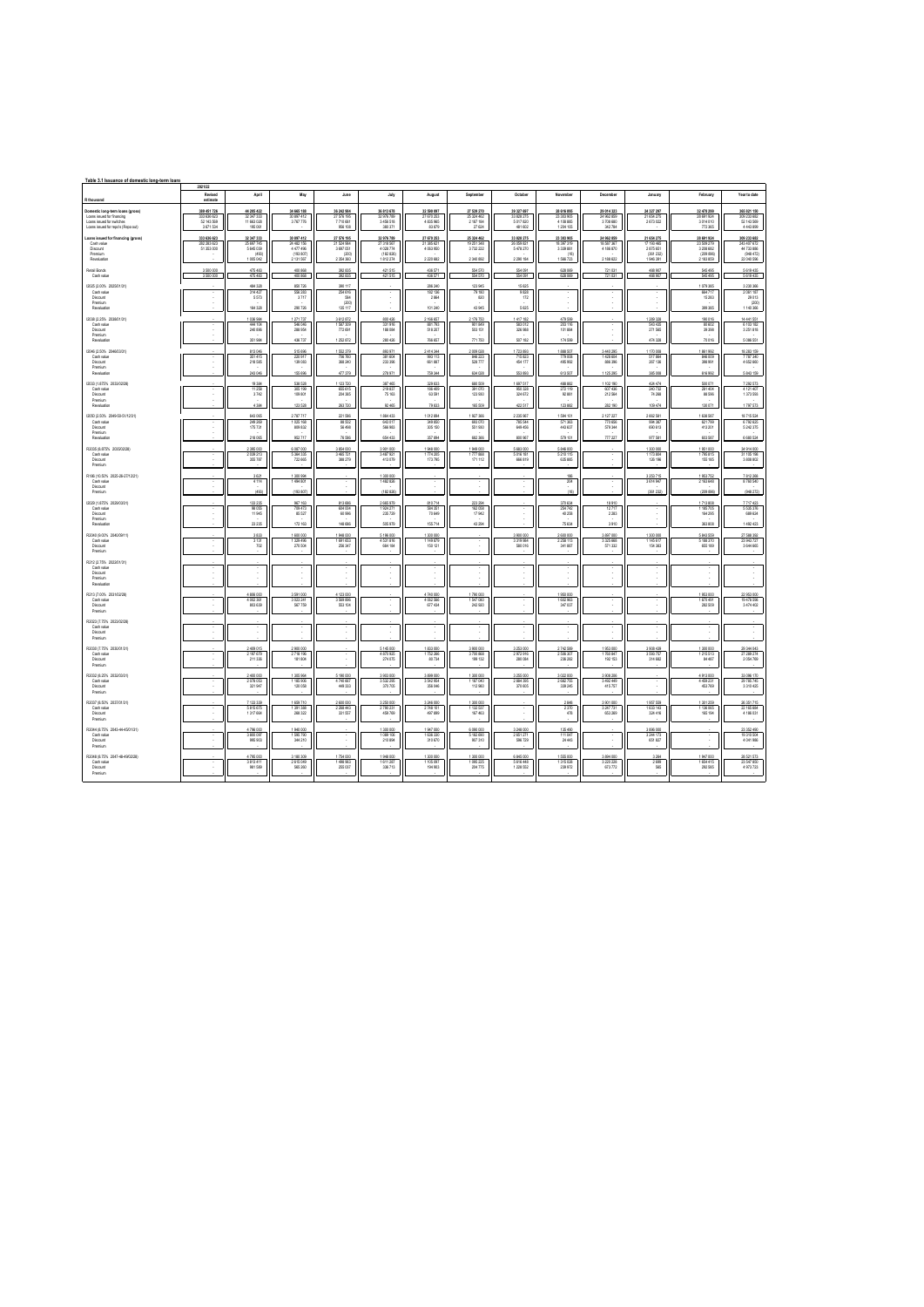| Table 3.1 Issuance of domestic long-term loans                                                                                  |                                                       |                                                           |                                                               |                                                            |                                                               |                                                    |                                                  |                                                     |                                                          |                                                    |                                                               |                                                                 |                                                                    |
|---------------------------------------------------------------------------------------------------------------------------------|-------------------------------------------------------|-----------------------------------------------------------|---------------------------------------------------------------|------------------------------------------------------------|---------------------------------------------------------------|----------------------------------------------------|--------------------------------------------------|-----------------------------------------------------|----------------------------------------------------------|----------------------------------------------------|---------------------------------------------------------------|-----------------------------------------------------------------|--------------------------------------------------------------------|
|                                                                                                                                 | 2021/22<br>Revised                                    | April                                                     | May                                                           | June                                                       | July                                                          | August                                             | September                                        | October                                             | November                                                 | Decembe                                            | January                                                       | February                                                        | Year to date                                                       |
| R thousand                                                                                                                      | actimate                                              |                                                           |                                                               |                                                            |                                                               |                                                    |                                                  |                                                     |                                                          |                                                    |                                                               |                                                                 |                                                                    |
| Domestic long-term loans (gross)<br>Loans issued for financing<br>Loans issued for switches<br>Loans issued for mods (Reno out) | 389 451 726<br>333 636 623<br>52 143 569<br>3.671.534 | 44 205 422<br>32 347 333<br>11 663 028<br>195.061         | 34 665 188<br>30 897 412<br>3767776                           | 36 242 984<br>27 576 195<br>7710681<br>996 108             | 36 813 678<br>32976789<br>3 456 518<br>380.371                | 32 590 097<br>27 670 253<br>4 835 965<br>83,879    | 27 539 270<br>25 324 462<br>2 187 184<br>27.634  | 39 327 697<br>33 828 275<br>5017820<br>481,602      | 28 616 895<br>23 303 905<br>4 108 885<br>1.204.105       | 29 014 323<br>24 962 859<br>3708 680<br>342.784    | 24 327 297<br>21 654 275<br>2 673 022                         | 32 478 299<br>28 691 924<br>3 014 010<br>772.388                | 365 821 150<br>309 233 682<br>52 143 569<br>4 443 899              |
| cans issued for financing (gross)<br>Cashvalve<br>Discount<br>Premium<br>Revaluator                                             | 333 636 623<br>282 283 623<br>51 353 000              | 32 347 333<br>25 697 745<br>5 645 039<br>(493)<br>1005042 | 30 897 412<br>24 480 156<br>4477 496<br>(193.807)<br>2131 567 | 27 576 195<br>21 /04 984<br>3 697 051<br>(200<br>2 354 360 | 32976789<br>27.318.567<br>4 0 28 774<br>(182.826)<br>1812 274 | 27 670 253<br>21.385.621<br>4 063 950<br>2 220 682 | 25 324 462<br>19 251 348<br>3732 222<br>2340 892 | 33 828 275<br>26059.821<br>5478270<br>2 2 9 1 1 8 4 | 23 303 905<br>18.397.319<br>3 339 881<br>(18)<br>1566723 | 24 962 859<br>18.587.367<br>4 186 870<br>2 188 622 | 21 654 275<br>17 193, 465<br>2875651<br>(361.232)<br>1946 391 | 28 691 924<br>23,509.279<br>3 208 682<br>(209.896)<br>2 183 859 | 309 233 682<br>243,407,672<br>44733 886<br>(948.472)<br>22 040 596 |
| Retail Bonds<br>Cash value                                                                                                      | 3 500 000<br>3 500 000                                | 475 483<br>475 483                                        | 400 868<br>400 868                                            | 392 835<br>392835                                          | 421 515<br>421 515                                            | 436 571<br>436 571                                 | 554 570<br>554 570                               | 554 091<br>554 091                                  | 628 089<br>628 069                                       | 721 031<br>721 031                                 | 488 907<br>488 907                                            | 545 495<br>545 495                                              | 5619 435<br>5619 435                                               |
| (2025) 2,00% 2025/01/31<br>Cash value<br>Discount<br>Premium<br>Revaluation                                                     |                                                       | 484 328<br>314 427<br>5573<br>164320                      | 850 726<br>556 283<br>3717<br>290 726                         | 100.117<br>254 616<br>584<br>contri<br>135 117             |                                                               | 286 240<br>182 136<br>2864<br>101 240              | 123 945<br>79 180<br>820<br>43.945               | 15 620<br>9 828<br>172<br>5 625                     |                                                          | ×                                                  |                                                               | 079 385<br>664717<br>15 28 3<br>399 385                         | 3 230 366<br>2061 187<br>29 013<br>(200)<br>1140 366               |
| (2038) 2.25% 2038/01/31)<br>Cash value<br>Discount<br>Premium                                                                   |                                                       | 1036984<br>444 104<br>240 896<br>351984                   | 1271737<br>546 046<br>288 954<br>436 737                      | 3612872<br>1 587 309<br>772 691<br>1252872                 | 800 426<br>331 916<br>188 084<br>280 426                      | 2 166 657<br>881793<br>518 207<br>766 657          | 2176750<br>901 849<br>503 151<br>771 750         | 1417 182<br>583 012<br>326 988<br>507 182           | 479 599<br>203 116<br>101884<br>174 599                  |                                                    | 1 289 328<br>543 435<br>271 565<br>474 328                    | 190 016<br>80 602<br>39 358<br>70016                            | 14 441 551<br>6 103 182<br>3 251 818<br>5 086 551                  |
| (2046 (2.50% 2046/03/31)<br>Cash value<br>Discount<br>Premium<br>Revoluation                                                    |                                                       | 813046<br>351415<br>218 585<br>243 046                    | 515 696<br>220 917<br>139 083<br>155 696                      | 1 552 379<br>706760<br>368 240<br>477 379                  | 893 971<br>381 604<br>233 396<br>278 971                      | 2414344<br>993 113<br>661887<br>759 344            | 2009028<br>846 223<br>528777<br>634 028          | 1723 893<br>715 823<br>454 177<br>553 893           | 1888 507<br>779 008<br>495 992<br>613 507                | 3 440 295<br>1428 604<br>886 396<br>1125 295       | 1170008<br>517864<br>267 136<br>385 008                       | 1861992<br>846 009<br>398 991<br>616 992                        | 18 28 3 15 9<br>7787340<br>4 652 660<br>5 843 159                  |
| 2033 / 1.875% 2033/02/28<br>Cash value<br>Discount<br>Premium<br>Revolution                                                     |                                                       | 19384<br>11258<br>3742<br>4.384                           | 538 528<br>305 199<br>109 801<br>123 528                      | 1 123 720<br>655 615<br>204 385<br>263720                  | 387 465<br>219 837<br>75 163<br>92.465                        | 329 833<br>186 409<br>63 591<br>79 833             | 680 509<br>391 070<br>123 930<br>165 509         | 1 697 517<br>950 328<br>324 672<br>422 517          | 488.882<br>272119<br>92.881<br>123 882                   | 1102190<br>607 436<br>212 564<br>282 190           | 424 474<br>240732<br>74 268<br>109 474                        | 500 071<br>281404<br>88 5 96<br>130 071                         | 7 292 573<br>4 121 407<br>1 373 593<br>1797 573                    |
| (2050 (2.50% 2049-50-51/12/31)<br>Cash value<br>Discount<br>Premium<br>Revolution                                               |                                                       | 643 065<br>249 269<br>175 731<br>218.085                  | 2787717<br>1025 168<br>809 832<br>90 717                      | 221 586<br>88,502<br>56 498<br>76,586                      | 1864 433<br>643.017<br>566 983<br>654,433                     | 1012894<br>349,850<br>305 150<br>357.894           | 1927366<br>693 070<br>551 930<br>682.368         | 2 235 967<br>785 544<br>649 456<br>800.967          | 1594 101<br>671103<br>443 637<br>579 101                 | 2 127 227<br><b>770 RM</b><br>579 344<br>7727      | 2 662 581<br>994.387<br>690 613<br>977,681                    | 1 638 587<br>621799<br>413 201<br>603 587                       | 18715 524<br>6792.625<br>5 242 375<br>6.680.524                    |
| R2035 (8.875% 2035/02/28)<br>Cash value<br>Discount<br>Premium                                                                  | ×                                                     | 2395000<br>2 039 213<br>355787                            | 6 087 000<br>5 364 335<br>722 665                             | 3 854 000<br>3 465 721<br>388 279                          | 3901000<br>3 487 921<br>413 079                               | 1948000<br>1774 205<br>173 795                     | 1949 000<br>1777 888<br>171 112                  | 5 683 000<br>5016 181<br>666 819                    | 5 846 000<br>5 210 115<br>635 885                        | v<br>×                                             | 1300000<br>1 173 804<br>126 196                               | 1951000<br>1795 815<br>155 185                                  | 34914000<br>31 105 198<br>3 808 802                                |
| R186 (10.50% 2025-26-27/12/21)<br>Cash value<br>Discount<br>Premium                                                             |                                                       | 3 621<br>4114<br>(493)                                    | 1300994<br>1494 801<br>(193.807)                              |                                                            | 1300 000<br>1482 826<br>(182.826)                             |                                                    |                                                  |                                                     | 186<br>204<br>(18)                                       |                                                    | 3 253 715<br>3614947<br>(361.232)                             | 1953752<br>2 163 648<br>(209 896                                | 7812268<br>8760 540<br>(948.272)                                   |
| (2029 (1.875% 2029/03/31)<br>Cash value<br>Discount<br>Premium<br>Revolution                                                    |                                                       | 133 235<br>98 055<br>11945<br>23 235                      | 967 163<br>709 473<br>85 527<br>172 163                       | 813 686<br>604 004<br>60996<br>148 686                     | 2 665 979<br>1924 271<br>235 729<br>505 979                   | 810714<br>584 351<br>70 649<br>155714              | 223 294<br>162 058<br>17942<br>43 294            |                                                     | 370 634<br>254742<br>40 258<br>75 634                    | 18 910<br>12717<br>2.283<br>3910                   |                                                               | 1713808<br>1 185 705<br>164 295<br>363 808                      | 7717423<br>5 535 376<br>689 624<br>1492 423                        |
| R2040 (9.00% 2040/09/11)<br>Cash value<br>Discount<br>Premium                                                                   |                                                       | 3833<br>$\frac{3131}{702}$                                | 1600 000<br>1329 496<br>270 504                               | 1948000<br>1891653<br>256 347                              | 5 196 000<br>4 531 816                                        | 1 300 000<br>1 149 879<br>150 121                  | t                                                | 3 900 000<br>3319 984<br>580 016                    | 2 600 000<br>2 258 113<br>341887                         | 3 897 000<br>3.326.668<br>571 332                  | 1 300 000<br>145617<br>154 383                                | 5 843 559<br>5 188 370<br>655 189                               | 27 588 392<br>23943727                                             |
| R212 (2.75% 2022/01/31)<br>Cash value<br>Discount<br>Premium<br>Revolution                                                      |                                                       |                                                           |                                                               |                                                            |                                                               |                                                    |                                                  |                                                     |                                                          | ×.                                                 |                                                               |                                                                 |                                                                    |
| R213 (7.00% 2031/02/28)<br>Cash value<br>Discount<br>Premium                                                                    |                                                       | 4 806 000<br>4 002 361<br>803 639                         | 3 591 000<br>3 023 241<br>567 759                             | 4 123 000<br>3 569 896<br>553 104                          |                                                               | 4740000<br>4 062 566<br>677434                     | 1790 000<br>1547080<br>242 920                   |                                                     | 1950000<br>1 602 963<br>347 037                          |                                                    |                                                               | 1953000<br>1670491<br>282 509                                   | 22953000<br>19478 598<br>3 474 402                                 |
| R2023 (7.75% 2023/02/28)<br>Cash value<br>Discount<br>Premium                                                                   |                                                       |                                                           |                                                               |                                                            |                                                               |                                                    |                                                  |                                                     |                                                          |                                                    |                                                               |                                                                 |                                                                    |
| R2020 (7.75% 2030/01/31)<br>Cash value<br>Discount<br>Premium                                                                   |                                                       | 2409 015<br>2 197 679<br>211336                           | 2900000<br>2718 195<br>181 804                                |                                                            | 5 145 000<br>4 870 925<br>274 075                             | 1 833 000<br>1752266<br>80734                      | 3900 000<br>3700 868<br>199 132                  | 3 253 000<br>2972916<br>280 084                     | 2 742 589<br>2 506 307<br>236 282                        | 1953000<br>1760 847<br>192 153                     | 3908439<br>3 593 757<br>314 682                               | 1300000<br>1215 513<br>84 487                                   | 29 344 043<br>27 289 274<br>2 0 5 4 7 6 9                          |
| R2022 (8.25% 2032/03/31)<br>Cash value<br>Discount<br>Premium                                                                   |                                                       | 2400.000<br>2078053<br>321947                             | 1.305.954<br>1 185 906<br>120 058                             | 5.190.000<br>4740667<br>449 333                            | 3903000<br>3 532 295<br>370 705                               | 3 899 000<br>3 542 954<br>356 046                  | 1300 000<br>1187 040<br>112 960                  | 3 255 000<br>2884 395<br>370 605                    | 3 022 000<br>2 682 755<br>339 245                        | 3908206<br>3 492 449<br>415 757                    |                                                               | 4913000<br>4 459 231<br>453769                                  | 33.096.170<br>29 785 745<br>3 3 10 4 25                            |
| R2037 (8.50% 2037/01/31)<br>Cash value<br>Discount<br>Premium                                                                   |                                                       | 7133339<br>6816676<br>1317664                             | 1699 710<br>1391388<br>268 322                                | 2 600 000<br>2.268.443<br>331 557                          | 3 250 000<br>2790 231<br>459 769                              | 3 246 000<br>2748 101<br>497 899                   | 1300 000<br>1132,537<br>167 463                  |                                                     | 2848<br>2370<br>478                                      | 3901000<br>3247731<br>653 269                      | 1957 559<br>1.633.143<br>324 416                              | 1301259<br>1.136.065<br>165 194                                 | 26 351 715<br>22.185.884<br>4 186 031                              |
| R2044 (8.75% 2043-44-45/01/31)<br>Cash value<br>Discount<br>Premium                                                             |                                                       | 4796000<br>3 800 097<br>995,923                           | 1940 000<br>1595790<br>344 210                                |                                                            | 1300 000<br>1089 106<br>210 894                               | 1947000<br>1 636 330<br>310 670                    | 6 090 000<br>5182,690<br>907 310                 | 3 248 000<br>2651271<br>596 729                     | 135 490<br>111047<br>24 443                              |                                                    | 3896000<br>3 244 173<br>651827                                |                                                                 | 23 352 490<br>19 310 504<br>4 041 986                              |
| R2048 (8.75% 2047-48-49/02/28)<br>Cash value<br>Discount<br>Premium                                                             |                                                       | 4795000<br>3813411<br>981 589                             | 3 180 309<br>2615049<br>565 260                               | 1754000<br>1498963<br>255 037                              | 1948 000<br>1611287<br>336 713                                | 1300000<br>1 105 097<br>194 903                    | 1300 000<br>1095 225<br>204 775                  | 6 845 000<br>5616 448<br>1 2 2 5 5 5 2              | 1 555 000<br>1315028<br>239 972                          | 3894000<br>3 2 20 2 28<br>673 772                  | 3264<br>2699<br>565                                           | 1947000<br>1654415<br>292,585                                   | 28 521 573<br>23 547 850<br>4973723                                |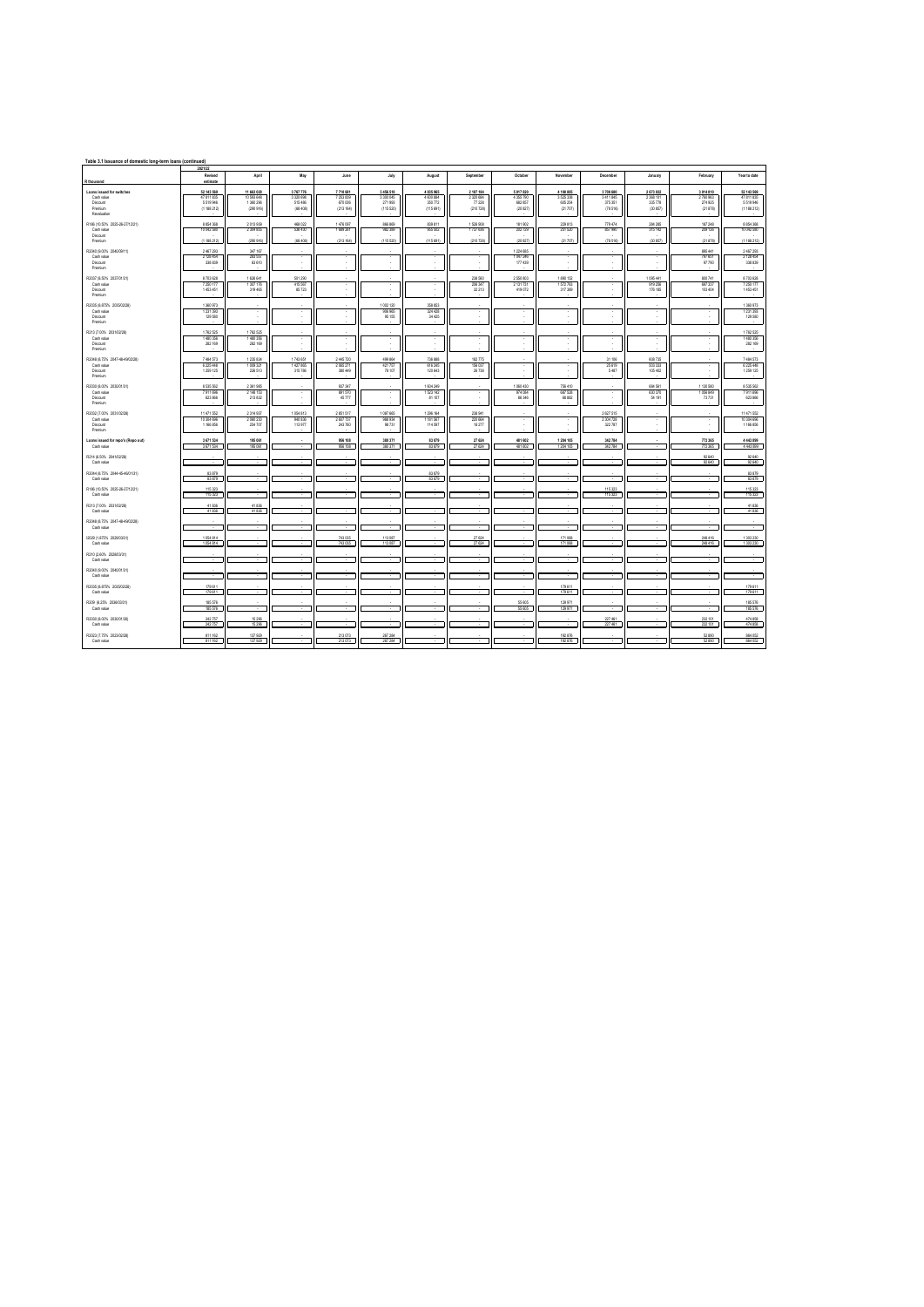| Table 3.1 Issuance of domestic long-term loans (continued)                   |                                                     |                                                    |                                                 |                                               |                                                |                                                |                                              |                                                   |                                               |                                            |                                             |                                             |                                                     |
|------------------------------------------------------------------------------|-----------------------------------------------------|----------------------------------------------------|-------------------------------------------------|-----------------------------------------------|------------------------------------------------|------------------------------------------------|----------------------------------------------|---------------------------------------------------|-----------------------------------------------|--------------------------------------------|---------------------------------------------|---------------------------------------------|-----------------------------------------------------|
|                                                                              | 2021/22<br>Revised                                  | April                                              | May                                             | June                                          | July                                           | August                                         | September                                    | October                                           | November                                      | December                                   | January                                     | February                                    | Year to date                                        |
| R thousand                                                                   | estimate                                            |                                                    |                                                 |                                               |                                                |                                                |                                              |                                                   |                                               |                                            |                                             |                                             |                                                     |
| Loans issued for switches<br>Cash value<br>Discount<br>Premium<br>Revolution | 52 143 569<br>47 811 835<br>5.519.946<br>(1188.212) | 11 663 028<br>10 553 648<br>1.360.296<br>(290 916) | 3767776<br>3 3 20 6 9 8<br>515, 495<br>(68.408) | 7710 681<br>7 253 839<br>670,006<br>(213.164) | 3 456 518<br>3 300 045<br>271,993<br>(115.520) | 4 835 965<br>4 600 884<br>350 772<br>(115 691) | 2 187 184<br>2320 684<br>77.228<br>(210 728) | 5 017 820<br>4 3 5 7 7 9 0<br>680 857<br>(20 827) | 4 108 885<br>3 525 338<br>605.254<br>(21.707) | 3708 680<br>3411845<br>375,351<br>(78.516) | 2 673 022<br>2 368 101<br>335,778<br>CIDARY | 3 014 010<br>2760963<br>274,925<br>(21 878) | 52 143 569<br>47 811 835<br>5 519 946<br>(1188.212) |
| R186 (10.50% 2025 26-27/12/21)<br>Cash value<br>Discount<br>Premium          | 8.854.368<br>10 042 580<br>(1188.212)               | 2013939<br>2 304 855<br>(290 916)                  | 468.022<br>536 430<br>(68.408)                  | 1.476.097<br>1 689 261<br>(213.164)           | ANG AGA<br>982,389<br>(115.520)                | 839 811<br>955 502<br>(115691)                 | 1526 908<br>1737 636<br>(210 728)            | 181,902<br>202.729<br>(20 827)                    | 229 813<br>251 520<br>(21707)                 | 779 474<br>857 990<br>(78, 516)            | 284 285<br>315 142<br>(30 857)              | 187 248<br>209 126<br>(21 878)              | 8 8 5 4 3 6 8<br>10 042 580<br>(1.188.212)          |
| R2040 (9.00% 2040/09/11)<br>Cash value<br>Discount<br>Premium                | 2 467 293<br>2 128 454<br>338 839                   | 347.167<br>283 557<br>63 610                       | ٠                                               | $\cdot$<br>$\mathbf{r}$                       | $\cdot$                                        | $\;$<br>$\overline{a}$                         | $\;$<br>$\overline{a}$                       | 1 2 2 6 6 8 5<br>1047246<br>177.439               | ٠                                             | $\cdot$<br>$\overline{\phantom{a}}$        | $\cdot$<br>×                                | 895 441<br>797 651<br>97,790                | 2467293<br>2128 454<br>338,839                      |
| R2037 (8.50% 2037/01/31)<br>Cash value<br>Discount<br>Premium                | 8703628<br>7.250.177<br>1.453.451                   | 1626 641<br>1.307.176<br>319.485                   | 501 290<br>415.567<br>85.723                    | $\sim$                                        | $\sim$                                         | $\cdot$<br>$\overline{a}$                      | 238 560<br>206.347<br>32.213                 | 2 550 803<br>2.131.731<br>419.072                 | 1890 152<br>1.572.763<br>317.389              | $\sim$<br>$\overline{\phantom{a}}$         | 1095441<br>919.256<br>176 185               | 800741<br>697.337<br>103,404                | 8703 628<br>7.250.177<br>1,453,451                  |
| R2035 (8.875% 2035/02/28)<br>Cash value<br>Discount<br>Premium               | 1 360 973<br>1 231 393<br>129 580                   |                                                    | i.                                              |                                               | 1002120<br>906 965<br>95 155                   | 358 853<br>324 428<br>34425                    | T<br>×                                       | $\mathbf{r}$                                      |                                               | $\overline{\phantom{a}}$                   | $\mathbf{r}$                                |                                             | 1360 973<br>1 2 3 1 3 9 3<br>129 580                |
| R213 (7.00% 2031/02/28)<br>Cash value<br>Discount<br>Premium                 | 1762 525<br>1480356<br>282 169                      | 1762 525<br>1480356<br>282 169                     |                                                 |                                               |                                                | $\cdot$<br>$\overline{a}$                      | $\cdot$<br>$\overline{a}$                    | $\mathbf{r}$                                      |                                               | $\overline{\phantom{a}}$                   | $\mathbf{r}$                                |                                             | 1762 525<br>1480 356<br>282 169                     |
| R2048 (8.75% 2047-48-49/02/28)<br>Cash value<br>Discount<br>Premium          | 7 484 573<br>6 225 448<br>1 259 1 25                | 1235 834<br>1009321<br>226 513                     | 1743 651<br>1427865<br>315 786                  | 2 445 720<br>2065271<br>380 449               | 499 864<br>421 757<br>78 107                   | 736 888<br>616245<br>120 643                   | 182775<br>156 037<br>26 738                  | -                                                 |                                               | 31 106<br>25 619<br>5 487                  | 608735<br>503 333<br>105 402                |                                             | 7484 573<br>6225448<br>1259 125                     |
| R2030 (8.00% 2030/01/31)<br>Cash value<br>Discount<br>Premium                | 8.535.562<br>7911696<br>623 866                     | 200108<br>2148153<br>213832                        |                                                 | 037.347<br>891570<br>45777                    |                                                | 1 604 249<br>1 523 142<br>81 107               |                                              | 060 430<br>974 084<br>86346                       | 756.410<br>687 528<br>68.882                  |                                            | 694,661<br>630 370<br>54 191                | 1 130 580<br>1056849<br>73731               | <b>R 535 562</b><br>7911696<br>623 866              |
| R2032 (7.00% 2031/02/28)<br>Cash value<br>Discount<br>Premium                | 11 471 552<br>10 304 696<br>1 166 856               | 2314937<br>2060230<br>254,707                      | 1054 813<br>940 835<br>113 977                  | 2851517<br>2 607 737<br>243 780               | 1087665<br>988 934<br>98 731                   | 1296 164<br>1 181 567<br>114 5 97              | 238 941<br>220 664<br>18 277                 | $\overline{\phantom{a}}$                          |                                               | 2 627 515<br>2 304 728<br>322 787          |                                             |                                             | 11 471 552<br>10 304 696<br>1 166 856               |
| Loans issued for repo's (Repo out)<br>Cash value                             | 3 671 534<br>3 671 534                              | 195 061<br>195 061                                 |                                                 | 956 108<br>956 108                            | 380 371<br>380 371                             | 83 879<br>83 879                               | 27 624<br>27 624                             | 481 602<br>481 602                                | 1 204 105<br>1 204 105                        | 342 784<br>342 784                         |                                             | 772365<br>772365                            | 4 4 4 3 8 9 9<br>4 4 4 3 8 9 9                      |
| R214 (6.50% 2041/02/28)<br>Cash value                                        |                                                     |                                                    |                                                 |                                               |                                                |                                                |                                              |                                                   |                                               |                                            |                                             | 92 640<br>92 640                            | 92 640<br>92 640                                    |
| R2044 (8.75% 2044-45-46/01/31)<br>Cash value                                 | 83,879<br>83879                                     |                                                    |                                                 |                                               |                                                | 83,879<br>83 879                               |                                              |                                                   |                                               |                                            |                                             |                                             | 83 879<br>83 879                                    |
| R186 (10.50% 2025-26-27/12/21)<br>Cash value                                 | 115 323<br>115 323                                  |                                                    |                                                 |                                               |                                                |                                                |                                              |                                                   |                                               | 115 323<br>115 323                         |                                             |                                             | 115 323<br>115 323                                  |
| R213 (7.00% 203102/28)<br>Cash value                                         | 41.8%<br>41836                                      | 41.8%<br>41.8%                                     |                                                 |                                               |                                                |                                                |                                              |                                                   |                                               |                                            |                                             |                                             | 41 836<br>41 836                                    |
| R2048 (8.75% 2047-48-49/02/28)<br>Cash value                                 |                                                     |                                                    |                                                 |                                               |                                                |                                                |                                              |                                                   |                                               |                                            |                                             |                                             |                                                     |
| (2029 (1.875% 2029/03/31)<br>Cash value                                      | 1054814<br>1054814                                  |                                                    |                                                 | 743 035<br>743 035                            | 113 087<br>113 087                             |                                                | 27 624<br>27 624                             |                                                   | 171068<br>171068                              |                                            |                                             | 248416<br>248416                            | 1303230<br>1303 230                                 |
| R210 (2.60% 2028/03/31)<br>Cash value                                        |                                                     |                                                    |                                                 |                                               |                                                |                                                |                                              |                                                   |                                               |                                            |                                             |                                             |                                                     |
| R2040 (9.00% 2040/01/31)<br>Cash value                                       |                                                     |                                                    |                                                 |                                               |                                                |                                                |                                              |                                                   |                                               |                                            |                                             |                                             |                                                     |
| R2026 IR 825% 2026/02/28)<br>Cash value                                      | 179 611<br>179 611                                  |                                                    |                                                 |                                               |                                                |                                                |                                              |                                                   | 179 611<br>179,611                            |                                            |                                             |                                             | 179 611<br>179 611                                  |
| R209 (6.25% 2036/03/31)<br>Cash value                                        | 185 576<br>185 576                                  |                                                    |                                                 |                                               |                                                |                                                |                                              | 55 605<br>55 605                                  | 129 971<br>129 971                            |                                            |                                             |                                             | 185 576<br>185 576                                  |
| R2030 (8.00% 2030/01/30)<br>Cash value                                       | 242 757<br>242 757                                  | 15 29 6<br>15,296                                  |                                                 |                                               |                                                |                                                |                                              |                                                   |                                               | 227 461<br>227, 461                        |                                             | 232 101<br>232,101                          | 474 858<br>474 958                                  |
| R2023 (7.75% 2023/02/28)<br>Cash value                                       | 811 162<br>811 162                                  | 137 929<br>137929                                  |                                                 | 213073<br>213073                              | 267 284<br>267 284                             |                                                |                                              |                                                   | 192 876<br>192.876                            |                                            |                                             | 52890<br>52890                              | 864 052<br>864 052                                  |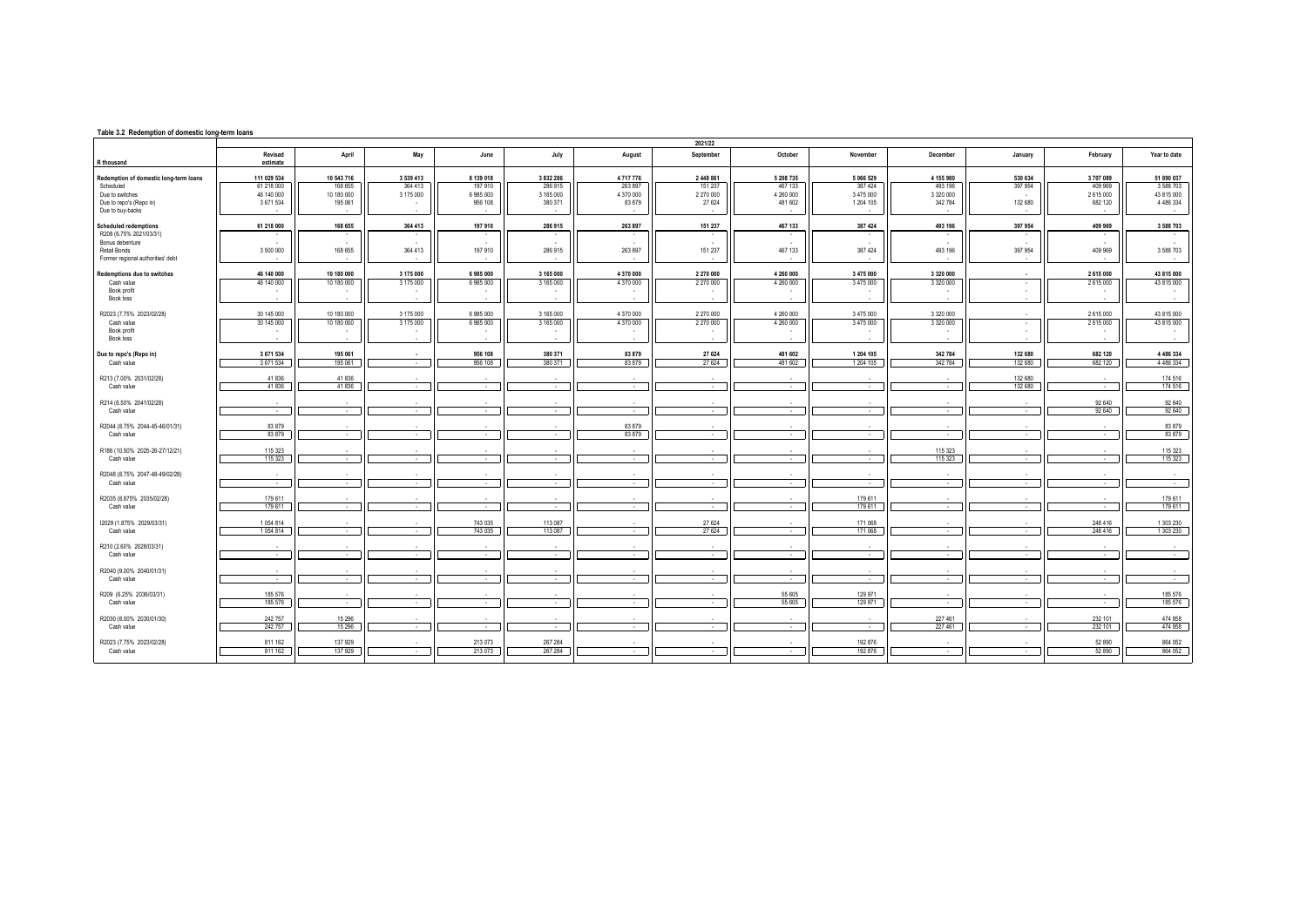| Table 3.2 Redemption of domestic long-term loans  |                          |                          |           |                      |                      |                     |                          |                      |                          |                      |                          |                    |                             |
|---------------------------------------------------|--------------------------|--------------------------|-----------|----------------------|----------------------|---------------------|--------------------------|----------------------|--------------------------|----------------------|--------------------------|--------------------|-----------------------------|
|                                                   | Revised                  | April                    | May       | June                 | July                 | August              | 2021/22<br>September     | October              | November                 | December             | January                  | February           | Year to date                |
| R thousand                                        | estimate                 |                          |           |                      |                      |                     |                          |                      |                          |                      |                          |                    |                             |
| Redemption of domestic long-term loans            | 111 029 534              | 10 543 716               | 3 539 413 | 8 139 018            | 3 832 286            | 4717776             | 2 448 861                | 5 208 7 35           | 5 066 529                | 4 155 980            | 530 634                  | 3707089            | 51 890 037                  |
| Scheduled                                         | 61 218 000               | 168 655                  | 364 413   | 197 910              | 286 915              | 263 897             | 151 237                  | 467 133              | 387 424                  | 493 196              | 397 954                  | 409 969            | 3 5 8 7 0 3                 |
| Due to switches<br>Due to repo's (Repo in)        | 46 140 000<br>3 671 534  | 10 180 000<br>195 061    | 3 175 000 | 6 985 000<br>956 108 | 3 165 000<br>380 371 | 4 370 000<br>83 879 | 2 270 000<br>27 624      | 4 260 000<br>481 602 | 3 475 000<br>1 204 105   | 3 320 000<br>342 784 | 132 680                  | 2615000<br>682 120 | 43 815 000<br>4 4 8 6 3 3 4 |
| Due to buy-backs                                  |                          |                          |           |                      |                      |                     |                          |                      |                          |                      |                          |                    |                             |
| <b>Scheduled redemptions</b>                      | 61 218 000               | 168 655                  | 364 413   | 197 910              | 286 915              | 263 897             | 151 237                  | 467 133              | 387 424                  | 493 196              | 397 954                  | 409 969            | 3 5 8 7 0 3                 |
| R208 (6.75% 2021/03/31)                           |                          |                          |           |                      |                      |                     |                          |                      |                          |                      |                          |                    |                             |
| Bonus debenture                                   |                          |                          |           |                      |                      |                     |                          |                      |                          |                      |                          |                    |                             |
| Retail Bonds<br>Former regional authorities' debt | 3 500 000                | 168 655                  | 364 413   | 197 910              | 286 915              | 263 897             | 151 237                  | 467 133              | 387 424                  | 493 196              | 397 954                  | 409 969            | 3 5 8 8 7 0 3               |
| Redemptions due to switches                       | 46 140 000               | 10 180 000               | 3 175 000 | 6985000              | 3 165 000            | 4 370 000           | 2 270 000                | 4 260 000            | 3 475 000                | 3 3 2 0 0 0 0        |                          | 2 615 000          | 43 815 000                  |
| Cash value                                        | 46 140 000               | 10 180 000               | 3 175 000 | 6 985 000            | 3 165 000            | 4 370 000           | 2 270 000                | 4 260 000            | 3 475 000                | 3 3 2 0 0 0 0        | $\overline{\phantom{a}}$ | 2615000            | 43 815 000                  |
| Book profit                                       |                          |                          |           |                      |                      |                     |                          |                      | ٠                        |                      |                          |                    | $\sim$                      |
| <b>Book loss</b>                                  |                          |                          |           |                      |                      |                     |                          |                      |                          |                      |                          |                    |                             |
| R2023 (7.75% 2023/02/28)                          | 30 145 000               | 10 180 000               | 3 175 000 | 6 985 000            | 3 165 000            | 4 370 000           | 2 270 000                | 4 260 000            | 3 475 000                | 3 320 000            |                          | 2615000            | 43 815 000                  |
| Cash value<br>Book profit                         | 30 145 000               | 10 180 000               | 3 175 000 | 6 985 000            | 3 165 000            | 4 370 000           | 2 270 000                | 4 260 000            | 3 475 000<br>٠           | 3 3 2 0 0 0 0        | $\cdot$                  | 2615000            | 43 815 000                  |
| <b>Book loss</b>                                  |                          | $\sim$                   | ٠.        |                      |                      | $\mathbf{r}$        | $\mathbf{r}$             |                      | $\sim$                   |                      |                          | $\sim$             | $\sim$                      |
| Due to repo's (Repo in)                           | 3 671 534                | 195 061                  |           | 956 108              | 380 371              | 83 879              | 27 624                   | 481 602              | 1 204 105                | 342 784              | 132 680                  | 682 120            | 4 4 8 6 3 3 4               |
| Cash value                                        | 3 671 534                | 195 061                  | $\sim$    | 956 108              | 380 371              | 83879               | 27 624                   | 481 602              | 1 204 105                | 342 784              | 132 680                  | 682 120            | 4 4 8 6 3 3 4               |
| R213 (7.00% 2031/02/28)                           | 41836                    | 41836                    |           |                      |                      |                     |                          |                      |                          |                      | 132 680                  |                    | 174 516                     |
| Cash value                                        | 41836                    | 41836                    | $\sim$    | <b>A</b>             | $\sim$               | $\sim$              | $\sim$                   | $\sim$               | $\sim$                   | $\sim$               | 132 680                  | $\sim$             | 174 516                     |
| R214 (6.50% 2041/02/28)                           | $\sim$                   | $\sim$                   |           |                      |                      |                     | $\sim$                   |                      |                          | $\sim$               |                          | 92 640             | 92 640                      |
| Cash value                                        | $\overline{\phantom{a}}$ |                          |           |                      |                      | ٠                   | $\sim$                   |                      | $\sim$                   |                      | $\cdot$                  | 92 640             | 92 640                      |
| R2044 (8.75% 2044-45-46/01/31)                    | 83 879                   |                          |           |                      |                      | 83 879              |                          |                      |                          |                      |                          |                    | 83 879                      |
| Cash value                                        | 83879                    | $\sim$                   | $\sim$    | <b>1999</b>          | $\sim$               | 83 879              | $\sim$                   | $\sim$               | $\sim$                   | $\sim$               | $\overline{\phantom{a}}$ | $\sim$             | 83879                       |
| R186 (10.50% 2025-26-27/12/21)                    | 115 323                  |                          |           |                      |                      |                     | $\mathbf{r}$             |                      |                          | 115 323              |                          |                    | 115 323                     |
| Cash value                                        | 115 323                  | $\overline{\phantom{a}}$ | $\sim$    |                      | $\sim$               | $\sim$              | $\sim$                   | $\sim$               | $\sim$                   | 115 323              | $\cdot$                  | $\sim$             | 115 323                     |
| R2048 (8.75% 2047-48-49/02/28)                    |                          |                          |           |                      |                      |                     |                          |                      |                          |                      |                          |                    |                             |
| Cash value                                        | $\sim$                   | $\sim$                   | $\sim$    | $\sim$               | $\sim$               | $\sim$              | $\sim$                   | $\sim$               | $\sim$                   | $\sim$               | $\overline{\phantom{a}}$ | $\sim$             | $\sim$                      |
| R2035 (8.875% 2035/02/28)                         | 179 611                  |                          |           |                      |                      |                     | $\overline{\phantom{a}}$ |                      | 179 611                  |                      |                          |                    | 179 611                     |
| Cash value                                        | 179 611                  | $\mathbf{r}$             | ۰.        | ۰.                   | $\mathbf{r}$         | $\sim$              | $\sim$                   | $\sim$               | 179 611                  | $\sim$               | $\sim$                   | $\sim$             | 179 611                     |
| I2029 (1.875% 2029/03/31)                         | 1054814                  |                          |           | 743 035              | 113 087              |                     | 27 624                   |                      | 171 068                  |                      |                          | 248 416            | 1 303 230                   |
| Cash value                                        | 1054814                  | $\sim$                   | $\sim$    | 743 035              | 113 087              | $\sim$              | 27 624                   | $\sim$               | 171 068                  | $\sim$               | $\sim$                   | 248 416            | 1 303 230                   |
| R210 (2.60% 2028/03/31)                           |                          |                          |           |                      |                      |                     |                          |                      |                          |                      |                          |                    |                             |
| Cash value                                        | $\sim$                   | $\sim$                   | $\sim$    | $\sim$               | $\sim$               | $\sim$              | $\sim$                   | $\sim$               | $\sim$                   | $\sim$               | $\cdot$                  | $\sim$             | $\sim$                      |
| R2040 (9.00% 2040/01/31)                          |                          |                          |           |                      |                      |                     | $\overline{\phantom{a}}$ |                      |                          |                      |                          |                    |                             |
| Cash value                                        | $\sim$                   |                          | $\sim$    |                      |                      | $\sim$              | $\sim$                   | $\sim$               | $\overline{\phantom{a}}$ | $\sim$               | $\cdot$                  | $\sim$             | $\sim$                      |
| R209 (6.25% 2036/03/31)                           | 185 576                  |                          |           |                      |                      |                     | $\mathbf{r}$             | 55 605               | 129 971                  |                      |                          |                    | 185 576                     |
| Cash value                                        | 185 576                  | $\sim$                   | $\sim$    | $\sim$               | $\mathbf{r}$         | $\sim$              | $\sim$                   | 55 605               | 129 971                  | $\sim$               | $\sim$                   | $\sim$             | 185 576                     |
| R2030 (8.00% 2030/01/30)                          | 242 757                  | 15 29 6                  |           |                      |                      |                     |                          |                      |                          | 227 461              |                          | 232 101            | 474 858                     |
| Cash value                                        | 242 757                  | 15 29 6                  | $\sim$    | $\sim$               | $\sim$               | $\sim$              | $\sim$                   | $\sim$               | $\sim$                   | 227 461              | $\sim$                   | 232 101            | 474 858                     |
| R2023 (7.75% 2023/02/28)                          | 811 162                  | 137 929                  |           | 213 073              | 267 284              |                     |                          |                      | 192 876                  |                      |                          | 52 890             | 864 052                     |
| Cash value                                        | 811 162                  | 137 929                  | $\sim$    | 213 073              | 267 284              | $\sim$              | $\sim$                   | $\sim$               | 192 876                  | $\sim$               | $\sim$                   | 52 890             | 864 052                     |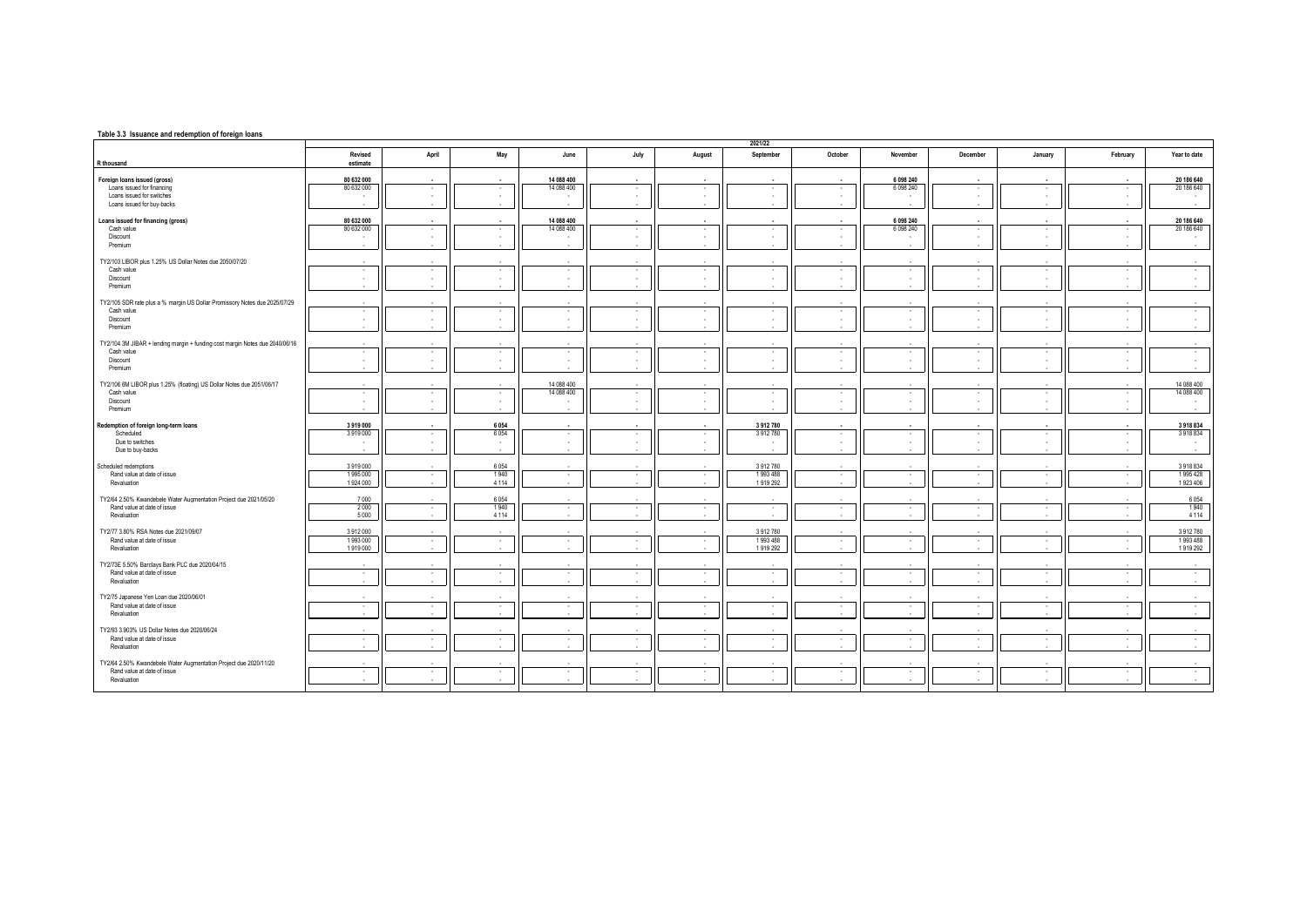## **Table 3.3 Issuance and redemption of foreign loans**

|                                                                              |                          |        |                          |                          |                    |                    | 2021/22                |                  |                         |               |                          |                       |                          |
|------------------------------------------------------------------------------|--------------------------|--------|--------------------------|--------------------------|--------------------|--------------------|------------------------|------------------|-------------------------|---------------|--------------------------|-----------------------|--------------------------|
| R thousand                                                                   | Revised<br>estimate      | April  | May                      | June                     | July               | August             | September              | October          | November                | December      | January                  | February              | Year to date             |
|                                                                              |                          |        |                          |                          |                    |                    |                        |                  |                         |               |                          |                       |                          |
| Foreign loans issued (gross)<br>Loans issued for financing                   | 80 632 000<br>80 632 000 | . .    | $\sim$                   | 14 088 400<br>14 088 400 | $\sim$<br>$\sim$   | $\sim$             | <b>1979</b>            | $\sim$           | 6 098 240<br>6 0 98 240 | <b>1999</b>   | $\sim$                   | ٠.                    | 20 186 640<br>20 186 640 |
| Loans issued for switches                                                    |                          |        | ٠                        |                          | $\sim$             |                    | $\sim$                 | ٠                |                         |               |                          | ٠.                    |                          |
| Loans issued for buy-backs                                                   |                          |        |                          |                          | . .                |                    |                        | ×.               | ٠.                      |               |                          | <b>A</b>              |                          |
| Loans issued for financing (gross)                                           | 80 632 000               |        |                          | 14 088 400               | $\sim$             |                    |                        |                  | 6 098 240               |               |                          |                       | 20 186 640               |
| Cash value                                                                   | 80 632 000               | $\sim$ | $\sim$                   | 14 088 400               | $\sim$             | $\sim$             | $\sim$                 | $\sim$           | 6 0 9 8 2 4 0           | $\sim$        | $\sim$                   | $\sim$                | 20 186 640               |
| Discount<br>Premium                                                          | $\sim$<br>$\sim$         |        | ×.                       |                          | $\sim$<br>$\sim$   | $\sim$             | $\sim$                 | $\sim$<br>٠.     | ٠.<br>$\sim$            | $\sim$        | $\mathbf{r}$             | $\sim$                | $\sim$<br>$\sim$         |
|                                                                              |                          |        |                          |                          |                    |                    |                        |                  |                         |               |                          |                       |                          |
| TY2/103 LIBOR plus 1.25% US Dollar Notes due 2050/07/20<br>Cash value        | $\sim$                   | $\sim$ | $\overline{\phantom{a}}$ | $\overline{\phantom{a}}$ | $\sim$             | $\sim$             | $\sim$                 | $\sim$           | $\sim$                  | $\sim$        | $\sim$                   | $\sim$                | $\sim$                   |
| Discount                                                                     | $\sim$                   |        |                          |                          | $\sim$             | $\sim$             | ٠.                     | ٠.               | ٠                       |               |                          | $\sim$                | $\sim$                   |
| Premium                                                                      | $\sim$                   |        |                          | $\mathbf{r}$             | $\sim$             | <b>A</b>           | $\sim$                 | $\sim$           | $\sim$                  | <b>1999</b>   | $\mathbf{r}$             | $\sim$                | $\mathbf{r}$             |
| TY2/105 SDR rate plus a % margin US Dollar Promissory Notes due 2025/07/29   | $\sim$                   |        |                          |                          | $\sim$             |                    |                        |                  | - 11                    |               |                          |                       |                          |
| Cash value<br>Discount                                                       | $\sim$<br>$\sim$         | $\sim$ | $\cdot$<br>$\mathbf{r}$  | $\cdot$                  | $\sim$<br><b>A</b> | $\sim$<br><b>A</b> | $\sim$<br>$\mathbf{r}$ | $\sim$<br>$\sim$ | $\sim$<br>٠.            | $\sim$<br>. . | $\sim$                   | $\sim$<br>$\sim$      | $\sim$<br>$\sim$         |
| Premium                                                                      |                          |        |                          |                          |                    |                    |                        |                  |                         |               |                          |                       |                          |
| TY2/104 3M JIBAR + lending margin + funding cost margin Notes due 2040/06/16 |                          |        |                          |                          |                    |                    |                        |                  |                         |               |                          |                       |                          |
| Cash value                                                                   | $\sim$                   | $\sim$ | $\epsilon$               | $\overline{\phantom{a}}$ | $\sim$             | $\sim$             | $\sim$                 | ×.               | $\cdot$                 | $\sim$        | $\overline{\phantom{a}}$ | $\sim$                | $\sim$                   |
| Discount                                                                     | $\sim$                   | $\sim$ | $\mathbf{r}$             | ×                        | $\sim$             | $\sim$             | $\sim$                 | ٠.               | $\sim$                  | $\sim$        | ۰.                       | $\sim$                | $\sim$                   |
| Premium                                                                      | $\mathbf{r}$             |        |                          |                          | $\sim$             |                    |                        | $\sim$           | ÷.                      |               |                          | $\sim$                |                          |
| TY2/106 6M LIBOR plus 1.25% (floating) US Dollar Notes due 2051/06/17        |                          |        |                          | 14 088 400               |                    |                    |                        |                  |                         |               |                          |                       | 14 088 400               |
| Cash value<br>Discount                                                       | $\sim$                   |        | $\mathbf{r}$             | 14 088 400               | $\sim$<br>$\sim$   | $\sim$             | <b>.</b><br>٠          | ٠.<br>٠          | ٠<br>٠                  |               | $\mathbf{r}$             | $\sim$<br>٠.          | 14 088 400               |
| Premium                                                                      |                          |        |                          |                          | <b>A</b>           |                    |                        |                  |                         |               |                          |                       |                          |
| Redemption of foreign long-term loans                                        | 3 919 000                |        | 6054                     |                          | . .                |                    | 3912780                |                  |                         |               |                          |                       | 3918834                  |
| Scheduled                                                                    | 3919000                  | $\sim$ | 6054                     | $\sim$                   | $\sim$             | $\sim$             | 3912780                | $\sim$           | $\sim$                  | $\sim$        | $\sim$                   | $\sim$                | 3918834                  |
| Due to switches<br>Due to buy-backs                                          | $\mathbf{r}$             | . .    | $\sim$                   | ٠                        | $\sim$             | $\sim$             | . .                    | $\sim$<br>٠.     | $\sim$<br>٠             | $\sim$        | ×                        | $\sim$                | $\sim$<br>$\sim$         |
|                                                                              |                          |        |                          |                          |                    |                    |                        |                  |                         |               |                          |                       |                          |
| Scheduled redemptions<br>Rand value at date of issue                         | 3919000<br>1995000       | $\sim$ | 6054<br>1940             | $\sim$                   | $\sim$             | $\sim$             | 3912780<br>1993488     | $\sim$           | $\sim$                  | $\sim$        | $\sim$                   | $\sim$                | 3918834<br>1995428       |
| Revaluation                                                                  | 1924 000                 |        | 4 1 1 4                  | ×                        | $\sim$             | $\sim$             | 1919 292               | ٠.               | $\sim$                  | $\sim$        |                          | $\sim$                | 1923 406                 |
| TY2/64 2.50% Kwandebele Water Augmentation Project due 2021/05/20            | 7000                     |        | 6054                     |                          |                    |                    |                        |                  |                         |               |                          |                       | 6054                     |
| Rand value at date of issue                                                  | 2000                     | $\sim$ | 1940                     | $\cdot$                  | $\sim$             | $\sim$             | $\sim$                 | $\sim$           | $\sim$                  | $\sim$        | $\sim$                   | $\sim$                | 1940                     |
| Revaluation                                                                  | 5 0 0 0                  |        | 4 1 1 4                  |                          | $\sim$             |                    |                        | ×.               |                         |               |                          |                       | 4 1 1 4                  |
| TY2/77 3.80% RSA Notes due 2021/09/07                                        | 3912000                  |        |                          |                          |                    |                    | 3912780                |                  |                         |               |                          |                       | 3 912 780                |
| Rand value at date of issue<br>Revaluation                                   | 1993000<br>1919000       | $\sim$ | $\sim$                   | $\sim$                   | $\sim$<br>$\sim$   | $\sim$             | 1993488<br>1919 292    | $\sim$           | $\sim$                  | $\sim$        | $\sim$                   | $\sim$<br><b>1979</b> | 1993488<br>1919 292      |
|                                                                              |                          |        |                          |                          |                    | <b>A</b>           |                        | $\sim$           | <b>.</b>                |               |                          |                       |                          |
| TY2/73E 5.50% Barclays Bank PLC due 2020/04/15                               |                          |        |                          |                          |                    |                    |                        |                  |                         |               |                          |                       |                          |
| Rand value at date of issue<br>Revaluation                                   | $\sim$<br>$\sim$         | $\sim$ | $\sim$                   | $\cdot$<br>۰.            | $\sim$<br>$\sim$   | $\sim$<br>$\sim$   | $\sim$<br>$\mathbf{r}$ | $\sim$<br>$\sim$ | $\sim$<br>. .           | $\sim$<br>- 1 | $\sim$                   | $\sim$<br>$\sim$      | $\sim$<br>$\sim$         |
|                                                                              |                          |        |                          |                          |                    |                    |                        |                  |                         |               |                          |                       |                          |
| TY2/75 Japanese Yen Loan due 2020/06/01<br>Rand value at date of issue       | $\sim$                   | $\sim$ | $\sim$                   | $\sim$                   | $\sim$             | $\sim$             | $\sim$                 | $\sim$           | $\sim$                  | $\sim$        | $\sim$                   | $\sim$                | $\sim$                   |
| Revaluation                                                                  | $\sim$                   |        |                          |                          | $\sim$             | $\sim$             | <b>1979</b>            | $\sim$           | $\sim$                  |               |                          | $\sim$                | $\mathbf{r}$             |
| TY2/93 3.903% US Dollar Notes due 2020/06/24                                 |                          |        |                          |                          |                    |                    |                        |                  |                         |               |                          |                       |                          |
| Rand value at date of issue                                                  | $\sim$                   | $\sim$ | $\sim$                   | $\sim$                   | $\sim$             | $\sim$             | $\sim$                 | $\sim$           | $\sim$                  | $\sim$        | $\sim$                   | $\sim$                | $\sim$                   |
| Revaluation                                                                  | $\sim$                   |        |                          |                          | $\sim$             | $\sim$             | $\mathbf{r}$           | $\sim$           | . .                     | $\sim$        | i.                       | $\mathbf{r}$          | $\sim$                   |
| TY2/64 2.50% Kwandebele Water Augmentation Project due 2020/11/20            |                          |        |                          |                          | . п.               |                    |                        |                  |                         |               |                          |                       |                          |
| Rand value at date of issue<br>Revaluation                                   | $\sim$<br>$\sim$         | $\sim$ | $\cdot$<br>$\mathbf{r}$  | $\cdot$<br>$\mathbf{r}$  | $\sim$<br>$\sim$   | $\sim$             | $\sim$                 | $\sim$<br>$\sim$ | $\sim$<br>$\sim$        | $\sim$        | $\sim$<br>$\mathbf{r}$   | $\sim$<br>$\sim$      | $\sim$<br><b>.</b>       |
|                                                                              |                          |        |                          |                          |                    | $\sim$             | $\sim$                 |                  |                         |               |                          |                       |                          |